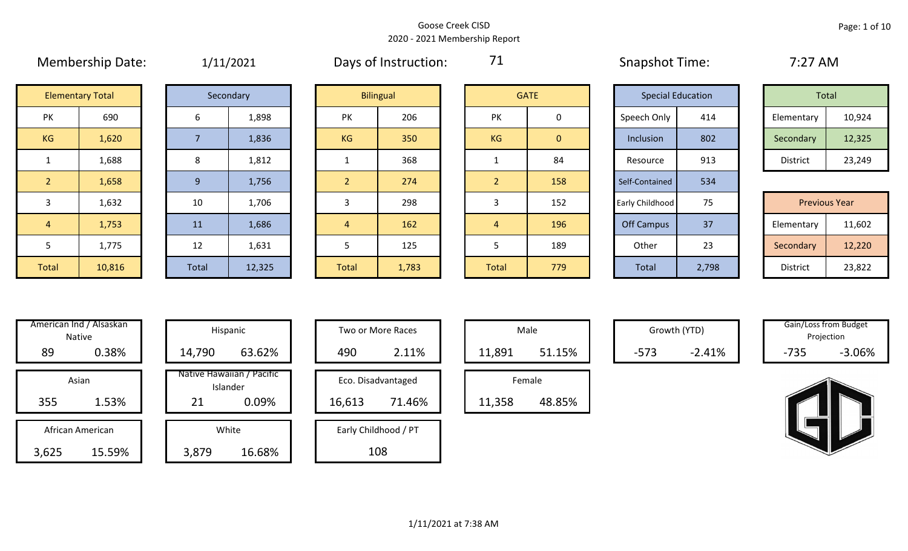|                | 1.1.1.1.0.01.1.0.000    |       | $+$ , $+$ $-$ , $  -$ |                |                  |                |                | $5.15$ $P5.15$ $C.1111$  |       | <u>.</u>             |        |
|----------------|-------------------------|-------|-----------------------|----------------|------------------|----------------|----------------|--------------------------|-------|----------------------|--------|
|                | <b>Elementary Total</b> |       | Secondary             |                | <b>Bilingual</b> |                | <b>GATE</b>    | <b>Special Education</b> |       | Total                |        |
| PK             | 690                     | 6     | 1,898                 | PK             | 206              | PK             | 0              | Speech Only              | 414   | Elementary           | 10,924 |
| KG             | 1,620                   |       | 1,836                 | <b>KG</b>      | 350              | KG             | $\overline{0}$ | Inclusion                | 802   | Secondary            | 12,325 |
|                | 1,688                   | 8     | 1,812                 |                | 368              |                | 84             | Resource                 | 913   | District             | 23,249 |
| $\overline{2}$ | 1,658                   | 9     | 1,756                 |                | 274              | $\overline{2}$ | 158            | Self-Contained           | 534   |                      |        |
| 3              | 1,632                   | 10    | 1,706                 | 3              | 298              |                | 152            | Early Childhood          | 75    | <b>Previous Year</b> |        |
| $\overline{4}$ | 1,753                   | 11    | 1,686                 | $\overline{4}$ | 162              | 4              | 196            | <b>Off Campus</b>        | 37    | Elementary           | 11,602 |
| 5              | 1,775                   | 12    | 1,631                 | 5.             | 125              | 5              | 189            | Other                    | 23    | Secondary            | 12,220 |
| Total          | 10,816                  | Total | 12,325                | <b>Total</b>   | 1,783            | Total          | 779            | Total                    | 2,798 | District             | 23,822 |

Membership Date:  $1/11/2021$  Days of Instruction: 71 Snapshot Time: 7:27 AM

71

|                     | <b>Elementary Total</b> |  | Secondary |           | <b>Bilingual</b> |           | <b>GATE</b> |             | <b>Special Education</b> |            | Total  |
|---------------------|-------------------------|--|-----------|-----------|------------------|-----------|-------------|-------------|--------------------------|------------|--------|
| NZ.<br>$\mathbf{N}$ | 690                     |  | 1,898     | PK        | 206              | PK        |             | Speech Only | 414                      | Elementary | 10,924 |
| G                   | 1,620                   |  | 1,836     | <b>KG</b> | 350              | <b>KG</b> | 0           | Inclusion   | 802                      | Secondary  | 12,325 |
|                     | 1,688                   |  | 1,812     |           | 368              |           | 84          | Resource    | 913                      | District   | 23,249 |

|             | 1,632  | 10           | 1,706  |              | 298   |              | 152 | Early Childhood   | 75    | <b>Previous Year</b> |        |
|-------------|--------|--------------|--------|--------------|-------|--------------|-----|-------------------|-------|----------------------|--------|
|             | 1,753  | 11           | 1,686  |              | 162   |              | 196 | <b>Off Campus</b> | 37    | Elementary           | 11,602 |
|             | 1,775  | 12           | 1,631  |              | 125   |              | 189 | Other             | 23    | Secondary            | 12,220 |
| <b>otal</b> | 10,816 | <b>Total</b> | 12,325 | <b>Total</b> | 1,783 | <b>Total</b> | 779 | Total             | 2,798 | District             | 23,822 |

|     | American Ind / Alsaskan<br><b>Native</b> |        | Hispanic                              |
|-----|------------------------------------------|--------|---------------------------------------|
| 89  | 0.38%                                    | 14,790 | 63.62%                                |
|     | Asian                                    |        | Native Hawaiian / Pacific<br>Islander |
| 355 | 1.53%                                    | 21     | 0.09%                                 |
|     | African American                         |        | White                                 |
|     |                                          |        |                                       |

|      | nerican ind / Alsaskan<br>Native |        | Hispanic                              |        | Two or More Races    |        | Male   |        | Growth (YTD) |        | Gain/Loss from Budget<br>Projection |
|------|----------------------------------|--------|---------------------------------------|--------|----------------------|--------|--------|--------|--------------|--------|-------------------------------------|
| 89   | 0.38%                            | 14,790 | 63.62%                                | 490    | 2.11%                | 11,891 | 51.15% | $-573$ | $-2.41%$     | $-735$ | $-3.06%$                            |
|      | Asian                            |        | Native Hawaiian / Pacific<br>Islander |        | Eco. Disadvantaged   |        | Female |        |              |        |                                     |
| 355  | 1.53%                            | 21     | 0.09%                                 | 16,613 | 71.46%               | 11,358 | 48.85% |        |              |        |                                     |
|      | African American                 |        | White                                 |        | Early Childhood / PT |        |        |        |              |        |                                     |
| ,625 | 15.59%                           | 3,879  | 16.68%                                |        | 108                  |        |        |        |              |        |                                     |

| Hispanic                       |        | Two or More Races    |        | Male   |
|--------------------------------|--------|----------------------|--------|--------|
| 63.62%                         | 490    | 2.11%                | 11,891 |        |
| lawaiian / Pacific<br>Islander |        | Eco. Disadvantaged   |        | Female |
| 0.09%                          | 16,613 | 71.46%               | 11,358 | ı      |
| White                          |        | Early Childhood / PT |        |        |
| 16.68%                         |        | 108                  |        |        |

|        | Male   |  |  |  |  |  |  |  |  |  |
|--------|--------|--|--|--|--|--|--|--|--|--|
| 11,891 | 51.15% |  |  |  |  |  |  |  |  |  |
| Female |        |  |  |  |  |  |  |  |  |  |
| 11,358 | 48.85% |  |  |  |  |  |  |  |  |  |

Growth (YTD) Gain/Loss from Budget Projection

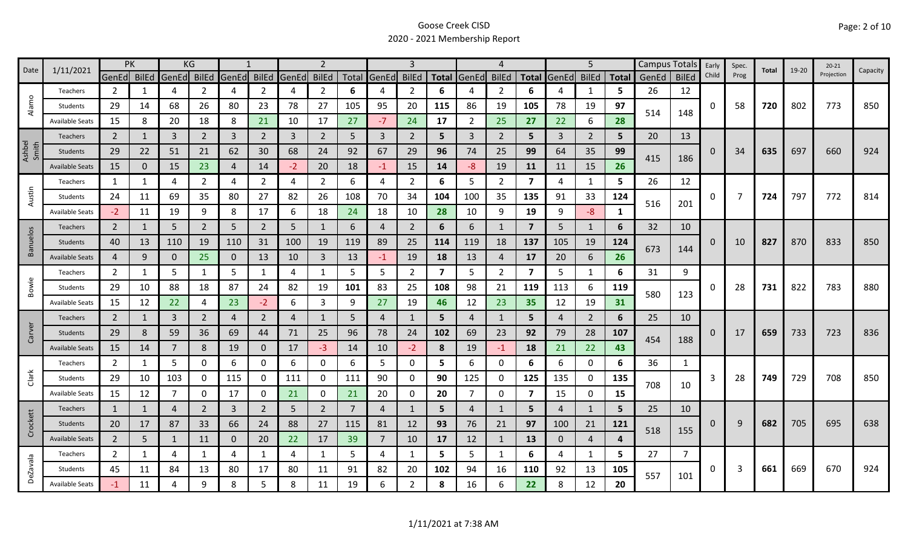| 1/11/2021<br>Date | PK                     |                | KG |                |                |                |                | $\overline{2}$ |                |                | 3              |                |     | 4              |                |                         | 5              |                |              | Campus Totals | Early          | Spec.    | Total | $19 - 20$ | $20 - 21$ |            |          |
|-------------------|------------------------|----------------|----|----------------|----------------|----------------|----------------|----------------|----------------|----------------|----------------|----------------|-----|----------------|----------------|-------------------------|----------------|----------------|--------------|---------------|----------------|----------|-------|-----------|-----------|------------|----------|
|                   |                        | GenEd BilEd    |    | GenEd BilEd    |                | GenEd          | <b>BilEd</b>   | GenEd          | <b>BilEd</b>   |                | Total GenEd    | <b>BilEd</b>   |     | Total GenEd    | <b>BilEd</b>   | <b>Total</b>            | GenEd          | <b>BilEd</b>   | <b>Total</b> | GenEd         | <b>BilEd</b>   | Child    | Prog  |           |           | Projection | Capacity |
|                   | Teachers               | $\overline{2}$ | 1  | 4              | 2              | 4              | $\overline{2}$ | 4              | $\overline{2}$ | 6              | 4              | 2              | 6   |                | 2              | 6                       |                | 1              | 5.           | 26            | 12             |          |       |           |           |            |          |
| Alamo             | Students               | 29             | 14 | 68             | 26             | 80             | 23             | 78             | 27             | 105            | 95             | 20             | 115 | 86             | 19             | 105                     | 78             | 19             | 97           | 514           | 148            | 0        | 58    | 720       | 802       | 773        | 850      |
|                   | <b>Available Seats</b> | 15             | 8  | 20             | 18             | 8              | 21             | 10             | 17             | 27             | $-7$           | 24             | 17  | $\overline{2}$ | 25             | 27                      | 22             | 6              | 28           |               |                |          |       |           |           |            |          |
|                   | <b>Teachers</b>        | $\overline{2}$ |    | $\overline{3}$ | $\overline{2}$ | $\overline{3}$ | $\overline{2}$ | 3              | $\overline{2}$ | 5              | 3              | $\overline{2}$ | 5   | $\mathbf{3}$   | 2              | 5                       | $\overline{3}$ | $\overline{2}$ | 5            | 20            | 13             |          |       |           |           |            |          |
| Ashbel<br>Smith   | Students               | 29             | 22 | 51             | 21             | 62             | 30             | 68             | 24             | 92             | 67             | 29             | 96  | 74             | 25             | 99                      | 64             | 35             | 99           |               |                | $\Omega$ | 34    | 635       | 697       | 660        | 924      |
|                   | <b>Available Seats</b> | 15             | 0  | 15             | 23             | $\overline{4}$ | 14             | $-2$           | 20             | 18             | $-1$           | 15             | 14  | $-8$           | 19             | 11                      | 11             | 15             | 26           | 415           | 186            |          |       |           |           |            |          |
|                   | Teachers               | 1              | 1  | 4              | 2              | 4              | $\overline{2}$ | 4              | $\overline{2}$ | 6              | 4              | $\overline{2}$ | 6   | 5              | $\overline{2}$ | $\overline{\mathbf{z}}$ | 4              | 1              | 5            | 26            | 12             |          |       |           |           |            |          |
| Austin            | Students               | 24             | 11 | 69             | 35             | 80             | 27             | 82             | 26             | 108            | 70             | 34             | 104 | 100            | 35             | 135                     | 91             | 33             | 124          |               |                | 0        | 7     | 724       | 797       | 772        | 814      |
|                   | <b>Available Seats</b> | $-2$           | 11 | 19             | 9              | 8              | 17             | 6              | 18             | 24             | 18             | 10             | 28  | 10             | 9              | 19                      | 9              | $-8-$          | 1            | 516           | 201            |          |       |           |           |            |          |
|                   | <b>Teachers</b>        | $\overline{2}$ | 1  | 5              | $\overline{2}$ | 5              | $\overline{2}$ | 5              | $\mathbf{1}$   | 6              | 4              | $\overline{2}$ | 6   | 6              | 1              | $\overline{7}$          | 5              | 1              | 6            | 32            | 10             |          |       |           |           |            |          |
| <b>Banuelos</b>   | Students               | 40             | 13 | 110            | 19             | 110            | 31             | 100            | 19             | 119            | 89             | 25             | 114 | 119            | 18             | 137                     | 105            | 19             | 124          |               |                | 0        | 10    | 827       | 870       | 833        | 850      |
|                   | <b>Available Seats</b> | $\overline{4}$ | 9  | $\mathbf 0$    | 25             | $\mathbf 0$    | 13             | 10             | $\mathbf{3}$   | 13             | $-1$           | 19             | 18  | 13             | $\overline{4}$ | 17                      | 20             | 6              | 26           | 673           | 144            |          |       |           |           |            |          |
|                   | Teachers               | $\overline{2}$ | 1  | 5              | $\mathbf{1}$   | 5              | $\mathbf{1}$   | 4              | $\mathbf{1}$   | 5              | 5              | $\overline{2}$ | 7   | 5              | $\overline{2}$ | $\overline{\mathbf{z}}$ | 5              | $\mathbf{1}$   | 6            | 31            | 9              |          |       |           |           |            |          |
| Bowie             | Students               | 29             | 10 | 88             | 18             | 87             | 24             | 82             | 19             | 101            | 83             | 25             | 108 | 98             | 21             | 119                     | 113            | 6              | 119          | 580           |                | 0        | 28    | 731       | 822       | 783        | 880      |
|                   | <b>Available Seats</b> | 15             | 12 | 22             | 4              | 23             | $-2$           | 6              | 3              | 9              | 27             | 19             | 46  | 12             | 23             | 35                      | 12             | 19             | 31           |               | 123            |          |       |           |           |            |          |
|                   | Teachers               | $\overline{2}$ | 1  | 3              | $\overline{2}$ | $\overline{4}$ | $\overline{2}$ | 4              | 1              | 5              | 4              |                | 5   | 4              | 1              | 5                       | 4              | $\overline{2}$ | 6            | 25            | 10             |          |       |           |           |            |          |
| Carver            | Students               | 29             | 8  | 59             | 36             | 69             | 44             | 71             | 25             | 96             | 78             | 24             | 102 | 69             | 23             | 92                      | 79             | 28             | 107          | 454           |                | 0        | 17    | 659       | 733       | 723        | 836      |
|                   | <b>Available Seats</b> | 15             | 14 | $\overline{7}$ | 8              | 19             | $\mathbf{0}$   | 17             | $-3$           | 14             | 10             | $-2$           | 8   | 19             | $-1$           | 18                      | 21             | 22             | 43           |               | 188            |          |       |           |           |            |          |
|                   | Teachers               | $\overline{2}$ | 1  | 5              | $\mathbf 0$    | 6              | 0              | 6              | 0              | 6              | 5.             | 0              | 5   | 6              | 0              | 6                       | 6              | $\mathbf 0$    | 6            | 36            | 1              |          |       |           |           |            |          |
| Clark             | Students               | 29             | 10 | 103            | 0              | 115            | $\mathbf{0}$   | 111            | 0              | 111            | 90             | 0              | 90  | 125            | 0              | 125                     | 135            | 0              | 135          | 708           |                | 3        | 28    | 749       | 729       | 708        | 850      |
|                   | <b>Available Seats</b> | 15             | 12 | $\overline{7}$ | 0              | 17             | 0              | 21             | $\mathbf 0$    | 21             | 20             | 0              | 20  | $\overline{7}$ | 0              | $\overline{\mathbf{z}}$ | 15             | $\mathbf 0$    | 15           |               | 10             |          |       |           |           |            |          |
|                   | Teachers               | $\mathbf{1}$   | 1  | $\overline{4}$ | $\overline{2}$ | 3              | $\overline{2}$ | 5              | $\overline{2}$ | $\overline{7}$ | 4              |                | 5   | $\overline{4}$ | $\mathbf{1}$   | 5                       | 4              | 1              | 5            | 25            | 10             |          |       |           |           |            |          |
| Crockett          | Students               | 20             | 17 | 87             | 33             | 66             | 24             | 88             | 27             | 115            | 81             | 12             | 93  | 76             | 21             | 97                      | 100            | 21             | 121          | 518           |                | 0        | 9     | 682       | 705       | 695        | 638      |
|                   | <b>Available Seats</b> | $\overline{2}$ | 5  | $\mathbf{1}$   | 11             | $\mathbf{0}$   | 20             | 22             | 17             | 39             | $\overline{7}$ | 10             | 17  | 12             | -1             | 13                      | $\mathbf 0$    | $\overline{4}$ | 4            |               | 155            |          |       |           |           |            |          |
|                   | Teachers               | $\overline{2}$ | 1  | 4              | 1              | 4              | $\mathbf{1}$   | 4              | $\mathbf{1}$   | 5.             | 4              | 1              | 5   | 5              | $\mathbf{1}$   | 6                       | 4              | $\mathbf{1}$   | 5.           | 27            | $\overline{7}$ |          |       |           |           |            |          |
| <b>DeZavala</b>   | Students               | 45             | 11 | 84             | 13             | 80             | 17             | 80             | 11             | 91             | 82             | 20             | 102 | 94             | 16             | 110                     | 92             | 13             | 105          | 557           |                | 0        | 3     | 661       | 669       | 670        | 924      |
|                   | <b>Available Seats</b> | $-1$           | 11 | 4              | 9              | 8              | 5              | 8              | 11             | 19             | 6              | 2              | 8   | 16             | 6              | 22                      |                | 12             | 20           |               | 101            |          |       |           |           |            |          |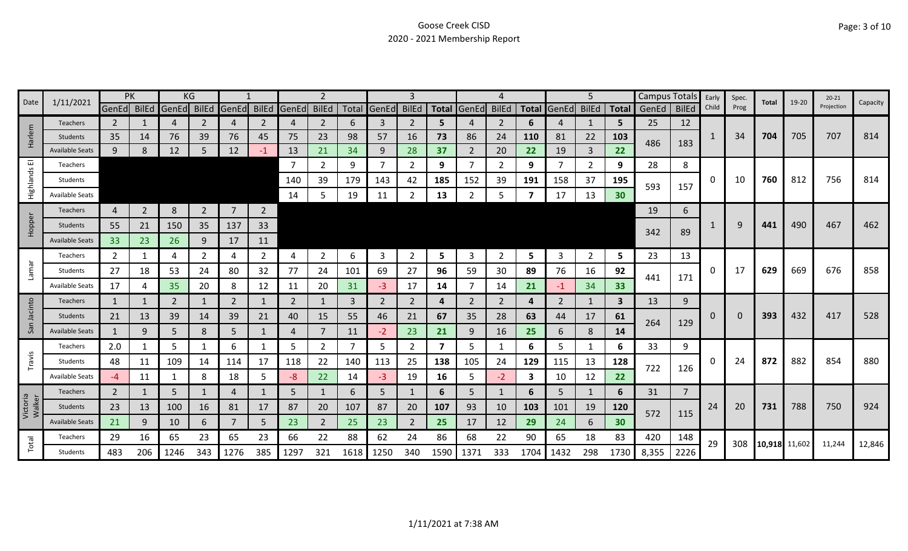| Date               |                        | PK             |                |                         | ΚG             |                |                |             |                |      |             | 3              |      |                | 4            |                         |                   | 5              |              | <b>Campus Totals</b> |                | Early | Spec. | Total         | 19-20 | $20 - 21$  | Capacity |
|--------------------|------------------------|----------------|----------------|-------------------------|----------------|----------------|----------------|-------------|----------------|------|-------------|----------------|------|----------------|--------------|-------------------------|-------------------|----------------|--------------|----------------------|----------------|-------|-------|---------------|-------|------------|----------|
|                    | 1/11/2021              |                |                | GenEd BilEd GenEd BilEd |                | <b>GenEd</b>   |                | BilEd GenEd | <b>BilEd</b>   |      | Total GenEd | <b>BilEd</b>   |      | Total GenEd    | <b>BilEd</b> |                         | Total GenEd BilEd |                | <b>Total</b> | GenEd                | <b>BilEd</b>   | Child | Prog  |               |       | Projection |          |
|                    | <b>Teachers</b>        | $\overline{2}$ |                | 4                       | 2              | $\overline{4}$ | 2              | 4           | 2              | 6    | 3           | 2              | 5    |                | 2            | 6                       | 4                 | 1              | 5            | 25                   | 12             |       |       |               |       |            |          |
| larlem             | <b>Students</b>        | 35             | 14             | 76                      | 39             | 76             | 45             | 75          | 23             | 98   | 57          | 16             | 73   | 86             | 24           | <b>110</b>              | 81                | 22             | 103          | 486                  | 183            | 1     | 34    | 704           | 705   | 707        | 814      |
| Ĩ                  | <b>Available Seats</b> | 9              | 8              | 12                      | 5.             | 12             | $-1$           | 13          | 21             | 34   | 9           | 28             | 37   | $\overline{2}$ | 20           | 22                      | 19                | 3              | 22           |                      |                |       |       |               |       |            |          |
| ш                  | Teachers               |                |                |                         |                |                |                | 7           | 2              | 9    | 7           | 2              | 9    |                | 2            | 9                       | 7                 | 2              | 9            | 28                   | 8              |       |       |               |       |            |          |
| Highlands          | Students               |                |                |                         |                |                |                | 140         | 39             | 179  | 143         | 42             | 185  | 152            | 39           | 191                     | 158               | 37             | 195          | 593                  | 157            | 0     | 10    | 760           | 812   | 756        | 814      |
|                    | <b>Available Seats</b> |                |                |                         |                |                |                | 14          | 5              | 19   | 11          |                | 13   |                | 5            |                         | 17                | 13             | 30           |                      |                |       |       |               |       |            |          |
|                    | <b>Teachers</b>        | $\overline{4}$ | $\overline{2}$ | 8                       | $\overline{2}$ | $\overline{7}$ | $\overline{2}$ |             |                |      |             |                |      |                |              |                         |                   |                |              | 19                   | 6              |       |       |               |       |            |          |
| Hopper             | Students               | 55             | 21             | 150                     | 35             | 137            | 33             |             |                |      |             |                |      |                |              |                         |                   |                |              |                      |                |       | q     | 441           | 490   | 467        | 462      |
|                    | <b>Available Seats</b> | 33             | 23             | 26                      | 9              | 17             | 11             |             |                |      |             |                |      |                |              |                         |                   |                |              | 342                  | 89             |       |       |               |       |            |          |
|                    | Teachers               | $\overline{2}$ |                | 4                       | 2              | 4              | $\overline{2}$ | 4           | $\overline{2}$ | 6    | 3           | 2              | 5    | 3              | 2            | 5                       | 3                 | $\overline{2}$ | 5            | 23                   | 13             |       |       |               |       |            |          |
| Lamar              | Students               | 27             | 18             | 53                      | 24             | 80             | 32             | 77          | 24             | 101  | 69          | 27             | 96   | 59             | 30           | 89                      | 76                | 16             | 92           |                      |                | 0     | 17    | 629           | 669   | 676        | 858      |
|                    | Available Seats        | 17             |                | 35                      | 20             | 8              | 12             | 11          | 20             | 31   | $-3$        | 17             | 14   |                | 14           | 21                      | $-1$              | 34             | 33           | 441                  | 171            |       |       |               |       |            |          |
| cinto              | Teachers               | $\mathbf{1}$   |                | 2                       | 1              | 2              | 1              | 2           | 1              | 3    | 2           | 2              | 4    | 2              | 2            | 4                       | 2                 | 1              | 3            | 13                   | 9              |       |       |               |       |            |          |
|                    | Students               | 21             | 13             | 39                      | 14             | 39             | 21             | 40          | 15             | 55   | 46          | 21             | 67   | 35             | 28           | 63                      | 44                | 17             | 61           |                      |                | 0     |       | 393           | 432   | 417        | 528      |
| San                | <b>Available Seats</b> | $\mathbf{1}$   | 9              | 5                       | 8              | 5              | 1              | 4           | $\overline{7}$ | 11   | $-2$        | 23             | 21   | 9              | 16           | 25                      | 6                 | 8              | 14           | 264                  | 129            |       |       |               |       |            |          |
|                    | Teachers               | 2.0            |                | 5                       | 1              | 6              | 1              | 5           | $\overline{2}$ | 7    | 5           | $\overline{2}$ | 7    | 5.             | 1            | 6                       | 5                 | $\mathbf{1}$   | 6            | 33                   | 9              |       |       |               |       |            |          |
| Travis             | Students               | 48             | 11             | 109                     | 14             | 114            | 17             | 118         | 22             | 140  | 113         | 25             | 138  | 105            | 24           | 129                     | 115               | 13             | 128          |                      |                | 0     | 24    | 872           | 882   | 854        | 880      |
|                    | <b>Available Seats</b> | $-4$           | 11             |                         | 8              | 18             | 5              | -8          | 22             | 14   | $-3$        | 19             | 16   | 5.             | $-2$         | $\overline{\mathbf{3}}$ | 10                | 12             | 22           | 722                  | 126            |       |       |               |       |            |          |
|                    | Teachers               | $\overline{2}$ |                | 5                       | 1              | 4              | $\mathbf{1}$   | 5           | $\mathbf{1}$   | 6    | 5           |                | 6    | 5.             | $\mathbf{1}$ | 6                       | 5                 | $\mathbf{1}$   | 6            | 31                   | $\overline{7}$ |       |       |               |       |            |          |
| Victoria<br>Walker | <b>Students</b>        | 23             | 13             | 100                     | 16             | 81             | 17             | 87          | 20             | 107  | 87          | 20             | 107  | 93             | 10           | 103                     | 101               | 19             | 120          | 572                  |                | 24    | 20    | 731           | 788   | 750        | 924      |
|                    | <b>Available Seats</b> | 21             | 9              | 10                      | 6              | 7              | 5              | 23          | $\overline{2}$ | 25   | 23          | 2              | 25   | 17             | 12           | 29                      | 24                | 6              | 30           |                      | 115            |       |       |               |       |            |          |
|                    | Teachers               | 29             | 16             | 65                      | 23             | 65             | 23             | 66          | 22             | 88   | 62          | 24             | 86   | 68             | 22           | 90                      | 65                | 18             | 83           | 420                  | 148            | 29    | 308   |               |       | 11,244     | 12,846   |
| Total              | Students               | 483            | 206            | 1246                    | 343            | 1276           | 385            | 1297        | 321            | 1618 | 1250        | 340            | 1590 | 1371           | 333          | 1704                    | 1432              | 298            | 1730         | 8,355                | 2226           |       |       | 10,918 11,602 |       |            |          |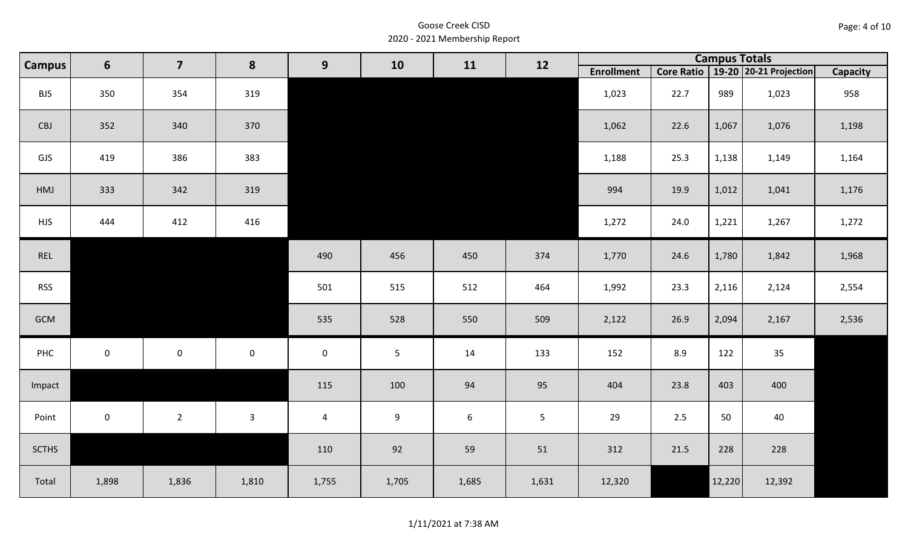| Page: 4 of 10 |  |
|---------------|--|
|---------------|--|

| <b>Campus</b> | $6\phantom{1}$ | $\overline{\mathbf{z}}$ | 8            | 9              | 10             | 11              | 12             |                   |      | <b>Campus Totals</b> |                                       |                 |
|---------------|----------------|-------------------------|--------------|----------------|----------------|-----------------|----------------|-------------------|------|----------------------|---------------------------------------|-----------------|
|               |                |                         |              |                |                |                 |                | <b>Enrollment</b> |      |                      | Core Ratio   19-20   20-21 Projection | <b>Capacity</b> |
| <b>BJS</b>    | 350            | 354                     | 319          |                |                |                 |                | 1,023             | 22.7 | 989                  | 1,023                                 | 958             |
| CBJ           | 352            | 340                     | 370          |                |                |                 |                | 1,062             | 22.6 | 1,067                | 1,076                                 | 1,198           |
| GJS           | 419            | 386                     | 383          |                |                |                 |                | 1,188             | 25.3 | 1,138                | 1,149                                 | 1,164           |
| HMJ           | 333            | 342                     | 319          |                |                |                 |                | 994               | 19.9 | 1,012                | 1,041                                 | 1,176           |
| <b>HJS</b>    | 444            | 412                     | 416          |                |                |                 |                | 1,272             | 24.0 | 1,221                | 1,267                                 | 1,272           |
| REL           |                |                         |              | 490            | 456            | 450             | 374            | 1,770             | 24.6 | 1,780                | 1,842                                 | 1,968           |
| <b>RSS</b>    |                |                         |              | 501            | 515            | 512             | 464            | 1,992             | 23.3 | 2,116                | 2,124                                 | 2,554           |
| GCM           |                |                         |              | 535            | 528            | 550             | 509            | 2,122             | 26.9 | 2,094                | 2,167                                 | 2,536           |
| PHC           | $\mathbf 0$    | $\mathsf{O}\xspace$     | $\mathbf 0$  | $\mathbf 0$    | $\overline{5}$ | 14              | 133            | 152               | 8.9  | 122                  | 35                                    |                 |
| Impact        |                |                         |              | 115            | 100            | 94              | 95             | 404               | 23.8 | 403                  | 400                                   |                 |
| Point         | $\mathbf 0$    | $\overline{2}$          | $\mathbf{3}$ | $\overline{4}$ | 9              | $6\phantom{1}6$ | 5 <sub>1</sub> | 29                | 2.5  | 50                   | 40                                    |                 |
| <b>SCTHS</b>  |                |                         |              | 110            | 92             | 59              | 51             | 312               | 21.5 | 228                  | 228                                   |                 |
| Total         | 1,898          | 1,836                   | 1,810        | 1,755          | 1,705          | 1,685           | 1,631          | 12,320            |      | 12,220               | 12,392                                |                 |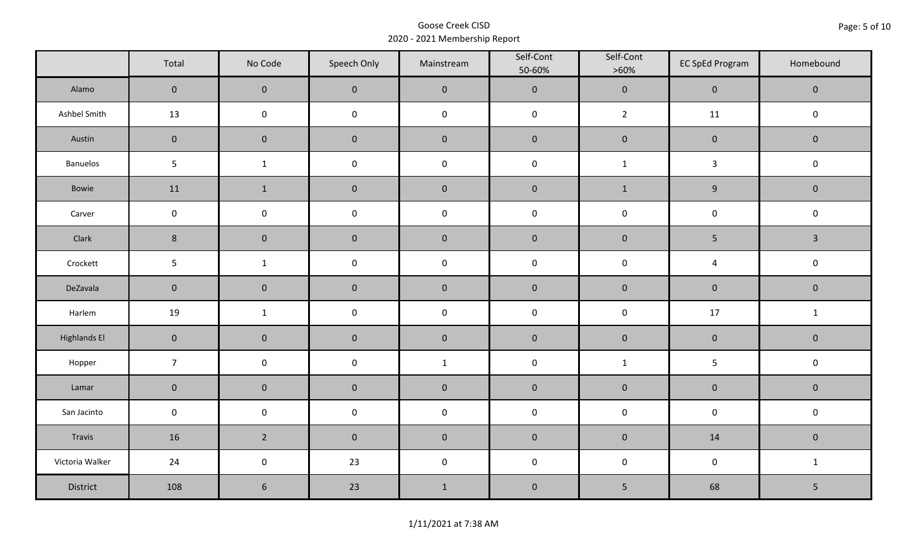|                     | Total           | No Code             | Speech Only         | Mainstream   | Self-Cont<br>50-60% | Self-Cont<br>$>60\%$ | <b>EC SpEd Program</b>  | Homebound    |  |
|---------------------|-----------------|---------------------|---------------------|--------------|---------------------|----------------------|-------------------------|--------------|--|
| Alamo               | $\mathbf 0$     | $\mathbf 0$         | $\mathbf 0$         | $\pmb{0}$    | $\pmb{0}$           | $\pmb{0}$            | $\mathsf{O}\xspace$     | $\pmb{0}$    |  |
| Ashbel Smith        | 13              | $\mathbf 0$         | $\mathbf 0$         | $\pmb{0}$    | $\pmb{0}$           | $\overline{2}$       | 11                      | $\mathbf 0$  |  |
| Austin              | $\mathbf 0$     | $\mathbf 0$         | $\mathbf{0}$        | $\pmb{0}$    | $\pmb{0}$           | $\pmb{0}$            | $\pmb{0}$               | $\mathbf 0$  |  |
| Banuelos            | $5\phantom{.0}$ | $\mathbf{1}$        | $\mathsf 0$         | $\pmb{0}$    | $\mathsf 0$         | $\mathbf{1}$         | $\overline{3}$          | $\mathbf 0$  |  |
| Bowie               | 11              | $\mathbf{1}$        | $\mathbf 0$         | $\pmb{0}$    | $\pmb{0}$           | $\mathbf{1}$         | $\boldsymbol{9}$        | $\mathbf 0$  |  |
| Carver              | $\mathbf 0$     | $\mathbf 0$         | $\mathsf{O}\xspace$ | $\pmb{0}$    | $\pmb{0}$           | $\mathbf 0$          | $\mathbf 0$             | $\mathbf 0$  |  |
| Clark               | $\,$ 8 $\,$     | $\overline{0}$      | $\mathbf 0$         | $\pmb{0}$    | $\pmb{0}$           | $\pmb{0}$            | $\sqrt{5}$              | $\mathbf{3}$ |  |
| Crockett            | $5\phantom{.0}$ | $\mathbf{1}$        | $\mathsf{O}\xspace$ | $\pmb{0}$    | $\pmb{0}$           | $\pmb{0}$            | $\overline{\mathbf{4}}$ | $\mathbf 0$  |  |
| DeZavala            | $\mathbf 0$     | $\mathbf 0$         | $\mathbf 0$         | $\pmb{0}$    | $\pmb{0}$           | $\pmb{0}$            | $\pmb{0}$               | $\mathbf 0$  |  |
| Harlem              | 19              | $\mathbf{1}$        | $\pmb{0}$           | $\pmb{0}$    | $\pmb{0}$           | $\pmb{0}$            | $17\,$                  | $\mathbf{1}$ |  |
| <b>Highlands El</b> | $\mathbf 0$     | $\mathbf 0$         | $\mathbf 0$         | $\pmb{0}$    | $\pmb{0}$           | $\pmb{0}$            | $\pmb{0}$               | $\mathbf 0$  |  |
| Hopper              | $\overline{7}$  | $\mathbf 0$         | $\mathsf{O}\xspace$ | $\mathbf{1}$ | $\pmb{0}$           | $\mathbf{1}$         | 5                       | $\mathbf 0$  |  |
| Lamar               | $\mathbf 0$     | $\mathbf 0$         | $\mathbf 0$         | $\pmb{0}$    | $\pmb{0}$           | $\pmb{0}$            | $\pmb{0}$               | $\mathbf 0$  |  |
| San Jacinto         | $\mathbf 0$     | $\mathbf 0$         | $\mathbf 0$         | $\pmb{0}$    | $\pmb{0}$           | $\mathbf 0$          | $\mathbf 0$             | $\mathbf 0$  |  |
| Travis              | 16              | $2^{\circ}$         | $\overline{0}$      | $\pmb{0}$    | $\pmb{0}$           | $\pmb{0}$            | 14                      | $\mathbf 0$  |  |
| Victoria Walker     | 24              | $\mathsf{O}\xspace$ | 23                  | $\pmb{0}$    | $\pmb{0}$           | $\pmb{0}$            | $\mathbf 0$             | $\mathbf{1}$ |  |
| District            | 108             | $6\phantom{.}6$     | 23                  | $1\,$        | $\pmb{0}$           | $\mathsf S$          | 68                      | 5            |  |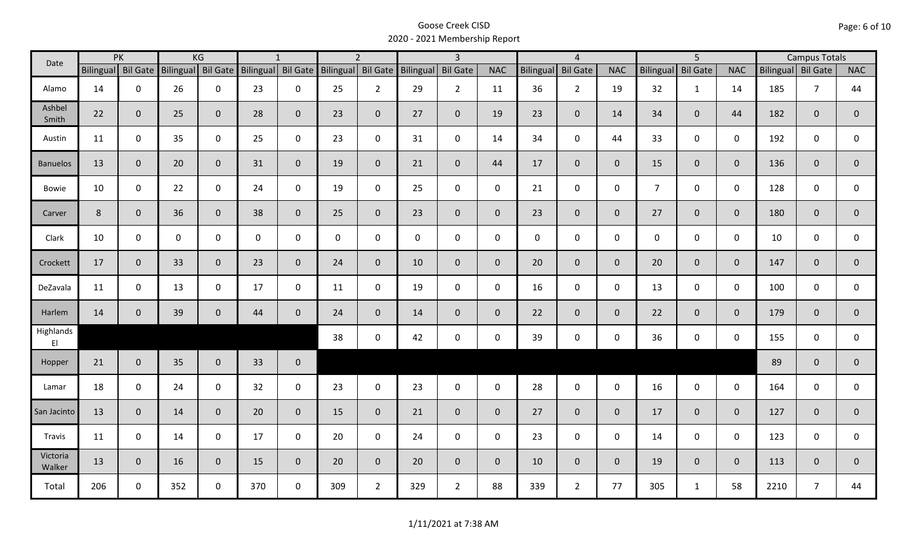| Date                                |                | PK<br>KG           |           |                |     | $\mathbf{1}$       |                    | $\overline{2}$ |                     | $\overline{3}$  |                | $\overline{4}$ |                     |                | $\overline{5}$   |                 |                | <b>Campus Totals</b> |                |                |
|-------------------------------------|----------------|--------------------|-----------|----------------|-----|--------------------|--------------------|----------------|---------------------|-----------------|----------------|----------------|---------------------|----------------|------------------|-----------------|----------------|----------------------|----------------|----------------|
|                                     |                | Bilingual Bil Gate | Bilingual | Bil Gate       |     | Bilingual Bil Gate | Bilingual Bil Gate |                | Bilingual           | <b>Bil Gate</b> | <b>NAC</b>     | Bilingual      | <b>Bil Gate</b>     | <b>NAC</b>     | <b>Bilingual</b> | <b>Bil Gate</b> | <b>NAC</b>     | Bilingual Bil Gate   |                | <b>NAC</b>     |
| Alamo                               | 14             | $\mathbf 0$        | 26        | $\mathbf 0$    | 23  | $\mathsf{O}$       | 25                 | $\overline{2}$ | 29                  | $2^{\circ}$     | 11             | 36             | $\overline{2}$      | 19             | 32               | $\mathbf{1}$    | 14             | 185                  | $\overline{7}$ | 44             |
| Ashbel<br>Smith                     | 22             | $\mathbf{0}$       | 25        | $\overline{0}$ | 28  | $\mathbf{0}$       | 23                 | $\overline{0}$ | 27                  | $\overline{0}$  | 19             | 23             | $\mathbf 0$         | 14             | 34               | $\mathbf{0}$    | 44             | 182                  | $\overline{0}$ | 0              |
| Austin                              | 11             | $\mathbf 0$        | 35        | $\mathbf 0$    | 25  | $\mathsf{O}$       | 23                 | $\mathbf 0$    | 31                  | $\mathsf{O}$    | 14             | 34             | $\mathsf{O}\xspace$ | 44             | 33               | $\overline{0}$  | $\mathbf 0$    | 192                  | $\mathbf 0$    | 0              |
| <b>Banuelos</b>                     | 13             | $\mathbf{0}$       | 20        | $\mathbf{0}$   | 31  | $\mathbf{0}$       | 19                 | $\overline{0}$ | 21                  | $\overline{0}$  | 44             | 17             | $\overline{0}$      | $\overline{0}$ | 15               | $\overline{0}$  | $\overline{0}$ | 136                  | $\overline{0}$ | $\overline{0}$ |
| Bowie                               | 10             | $\mathbf 0$        | 22        | $\mathsf{O}$   | 24  | $\mathbf 0$        | 19                 | $\mathbf 0$    | 25                  | $\mathbf 0$     | $\mathbf 0$    | 21             | $\mathbf 0$         | $\mathbf 0$    | $\overline{7}$   | $\mathbf 0$     | $\mathbf 0$    | 128                  | $\mathbf 0$    | 0              |
| Carver                              | $8\phantom{1}$ | $\mathbf{0}$       | 36        | $\mathbf 0$    | 38  | $\mathbf{0}$       | 25                 | $\overline{0}$ | 23                  | $\overline{0}$  | $\overline{0}$ | 23             | $\overline{0}$      | $\overline{0}$ | 27               | $\overline{0}$  | $\overline{0}$ | 180                  | $\overline{0}$ | $\overline{0}$ |
| Clark                               | 10             | $\mathbf 0$        | 0         | $\mathbf 0$    | 0   | $\mathbf 0$        | $\mathbf 0$        | $\mathbf 0$    | $\mathsf{O}\xspace$ | $\mathbf 0$     | $\mathbf 0$    | $\mathbf 0$    | $\mathsf{O}$        | $\mathbf 0$    | $\mathbf 0$      | $\mathbf 0$     | $\mathbf 0$    | 10                   | $\mathbf 0$    | 0              |
| Crockett                            | 17             | $\mathbf{0}$       | 33        | $\mathbf 0$    | 23  | $\mathbf{0}$       | 24                 | $\overline{0}$ | 10                  | $\overline{0}$  | $\overline{0}$ | 20             | $\overline{0}$      | $\overline{0}$ | 20               | $\overline{0}$  | $\mathbf{0}$   | 147                  | $\overline{0}$ | $\overline{0}$ |
| DeZavala                            | 11             | $\mathbf 0$        | 13        | $\mathsf{O}$   | 17  | $\mathbf 0$        | 11                 | $\mathbf 0$    | 19                  | $\mathsf{O}$    | $\mathbf 0$    | 16             | $\mathbf 0$         | $\mathbf 0$    | 13               | $\mathbf 0$     | $\mathbf 0$    | 100                  | $\mathbf 0$    | $\mathbf 0$    |
| Harlem                              | 14             | $\mathbf{0}$       | 39        | $\mathbf 0$    | 44  | $\mathbf{0}$       | 24                 | $\overline{0}$ | 14                  | $\overline{0}$  | $\overline{0}$ | 22             | $\overline{0}$      | $\overline{0}$ | 22               | $\overline{0}$  | $\overline{0}$ | 179                  | $\mathbf{0}$   | $\mathbf{0}$   |
| Highlands<br>$\mathsf{E}\mathsf{I}$ |                |                    |           |                |     |                    | 38                 | $\mathbf 0$    | 42                  | $\mathsf{O}$    | $\mathbf 0$    | 39             | $\mathbf 0$         | $\mathsf{O}$   | 36               | $\mathbf 0$     | $\mathbf 0$    | 155                  | $\mathbf 0$    | $\mathbf 0$    |
| Hopper                              | 21             | $\mathbf{0}$       | 35        | $\overline{0}$ | 33  | $\mathbf 0$        |                    |                |                     |                 |                |                |                     |                |                  |                 |                | 89                   | $\mathbf{0}$   | $\mathbf 0$    |
| Lamar                               | 18             | $\mathbf 0$        | 24        | $\mathbf 0$    | 32  | $\mathsf{O}$       | 23                 | $\mathbf 0$    | 23                  | $\mathbf 0$     | $\mathbf 0$    | 28             | $\mathbf 0$         | $\mathsf{O}$   | 16               | $\mathbf 0$     | $\mathbf 0$    | 164                  | $\mathbf 0$    | $\mathbf 0$    |
| San Jacinto                         | 13             | $\mathbf{0}$       | 14        | $\mathbf{0}$   | 20  | $\mathbf{0}$       | 15                 | $\overline{0}$ | 21                  | $\overline{0}$  | $\mathbf{0}$   | 27             | $\mathbf 0$         | $\overline{0}$ | 17               | $\overline{0}$  | $\mathbf{0}$   | 127                  | $\mathbf{0}$   | $\overline{0}$ |
| Travis                              | 11             | $\mathbf 0$        | 14        | $\mathbf 0$    | 17  | $\mathbf 0$        | 20                 | $\mathbf 0$    | 24                  | $\mathbf 0$     | $\mathbf 0$    | 23             | $\mathbf 0$         | $\mathbf 0$    | 14               | $\mathbf 0$     | $\mathbf 0$    | 123                  | $\mathbf 0$    | $\mathbf 0$    |
| Victoria<br>Walker                  | 13             | $\mathbf 0$        | 16        | $\mathbf{0}$   | 15  | $\mathbf{0}$       | 20                 | $\overline{0}$ | 20                  | $\overline{0}$  | $\mathbf 0$    | 10             | $\overline{0}$      | $\overline{0}$ | 19               | $\mathbf{0}$    | $\mathbf{0}$   | 113                  | $\mathbf 0$    | $\mathbf 0$    |
| Total                               | 206            | $\mathbf 0$        | 352       | $\mathbf 0$    | 370 | $\mathbf 0$        | 309                | $2^{\circ}$    | 329                 | $2^{\circ}$     | 88             | 339            | $2^{\circ}$         | 77             | 305              | $\mathbf{1}$    | 58             | 2210                 | $\overline{7}$ | 44             |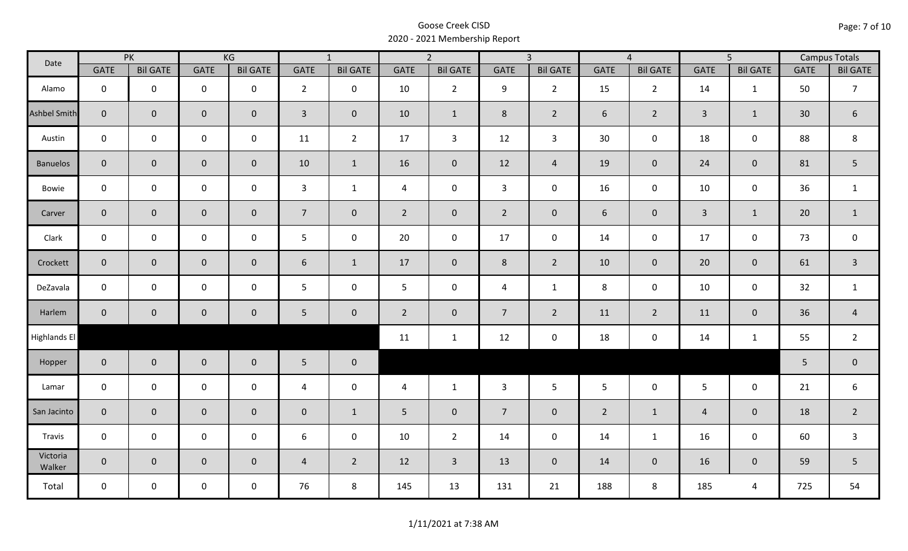| Date                |                | PK              |                     | KG              |                 | $\overline{1}$  |                | $\overline{2}$  |                | $\overline{3}$  |                | $\overline{4}$  |                 | $\overline{5}$      |                 | <b>Campus Totals</b> |
|---------------------|----------------|-----------------|---------------------|-----------------|-----------------|-----------------|----------------|-----------------|----------------|-----------------|----------------|-----------------|-----------------|---------------------|-----------------|----------------------|
|                     | <b>GATE</b>    | <b>Bil GATE</b> | <b>GATE</b>         | <b>Bil GATE</b> | <b>GATE</b>     | <b>Bil GATE</b> | <b>GATE</b>    | <b>Bil GATE</b> | <b>GATE</b>    | <b>Bil GATE</b> | <b>GATE</b>    | <b>Bil GATE</b> | <b>GATE</b>     | <b>Bil GATE</b>     | <b>GATE</b>     | <b>Bil GATE</b>      |
| Alamo               | $\mathbf{0}$   | $\mathbf 0$     | $\mathbf 0$         | $\mathbf 0$     | $2^{\circ}$     | $\mathbf 0$     | 10             | $\overline{2}$  | 9              | $2^{\circ}$     | 15             | $\overline{2}$  | 14              | $\mathbf{1}$        | 50              | $\overline{7}$       |
| <b>Ashbel Smith</b> | $\mathbf{0}$   | $\overline{0}$  | $\mathbf 0$         | $\mathbf{0}$    | $\overline{3}$  | $\overline{0}$  | 10             | $\mathbf{1}$    | 8              | $2^{\circ}$     | 6              | $\overline{2}$  | $\overline{3}$  | $\mathbf{1}$        | 30 <sup>°</sup> | $\boldsymbol{6}$     |
| Austin              | $\mathbf 0$    | $\mathbf 0$     | $\mathsf{O}\xspace$ | $\mathbf 0$     | 11              | $\overline{2}$  | 17             | $\mathbf{3}$    | 12             | $\mathbf{3}$    | 30             | 0               | 18              | $\mathbf 0$         | 88              | 8                    |
| <b>Banuelos</b>     | $\overline{0}$ | $\mathbf 0$     | $\mathbf 0$         | $\overline{0}$  | 10              | $\mathbf{1}$    | 16             | $\mathbf{0}$    | 12             | $\overline{4}$  | 19             | $\overline{0}$  | 24              | $\overline{0}$      | 81              | 5                    |
| Bowie               | $\mathbf 0$    | $\mathbf 0$     | $\mathsf{O}$        | $\mathbf 0$     | $\mathbf{3}$    | $\mathbf{1}$    | $\overline{4}$ | $\mathbf 0$     | $\mathbf{3}$   | $\mathbf 0$     | 16             | $\mathbf 0$     | 10              | $\mathbf 0$         | 36              | $\mathbf{1}$         |
| Carver              | $\overline{0}$ | $\mathbf 0$     | $\mathbf 0$         | $\mathbf{0}$    | $\overline{7}$  | $\mathbf 0$     | $2^{\circ}$    | $\mathbf 0$     | $2^{\circ}$    | $\overline{0}$  | 6              | $\mathbf 0$     | $\overline{3}$  | $\mathbf{1}$        | 20              | $\mathbf{1}$         |
| Clark               | $\mathbf 0$    | $\mathbf 0$     | $\pmb{0}$           | 0               | 5               | $\mathbf 0$     | 20             | $\mathbf 0$     | 17             | $\mathbf 0$     | 14             | $\mathbf 0$     | 17              | $\mathsf{O}\xspace$ | 73              | $\mathbf 0$          |
| Crockett            | $\overline{0}$ | $\mathbf 0$     | $\mathbf 0$         | $\overline{0}$  | 6               | $\mathbf{1}$    | 17             | $\mathbf{0}$    | 8              | $2^{\circ}$     | 10             | $\overline{0}$  | 20              | $\mathbf 0$         | 61              | $\overline{3}$       |
| DeZavala            | $\mathbf 0$    | $\mathbf 0$     | $\mathbf 0$         | $\mathbf 0$     | 5               | $\mathbf 0$     | 5              | $\mathbf 0$     | $\overline{4}$ | $\mathbf{1}$    | $\,8\,$        | $\mathbf 0$     | 10              | $\mathbf 0$         | 32              | $\mathbf{1}$         |
| Harlem              | $\overline{0}$ | $\overline{0}$  | $\mathbf 0$         | $\mathbf{0}$    | $5\phantom{.0}$ | $\mathbf 0$     | $\overline{2}$ | $\mathbf 0$     | 7 <sup>1</sup> | $\overline{2}$  | 11             | $2^{\circ}$     | 11              | $\mathbf{0}$        | 36              | $\overline{4}$       |
| Highlands El        |                |                 |                     |                 |                 |                 | 11             | $\mathbf{1}$    | 12             | $\mathbf 0$     | 18             | 0               | 14              | $\mathbf{1}$        | 55              | $\overline{2}$       |
| Hopper              | $\overline{0}$ | $\overline{0}$  | $\mathbf 0$         | $\overline{0}$  | $5\phantom{.}$  | $\mathbf 0$     |                |                 |                |                 |                |                 |                 |                     | 5               | $\pmb{0}$            |
| Lamar               | $\mathbf 0$    | $\mathbf 0$     | $\mathbf 0$         | $\mathbf 0$     | $\overline{4}$  | $\mathbf 0$     | 4              | $\mathbf{1}$    | $\mathbf{3}$   | 5 <sub>5</sub>  | 5              | $\mathbf 0$     | $5\overline{)}$ | $\mathbf 0$         | 21              | 6                    |
| San Jacinto         | $\mathbf 0$    | $\overline{0}$  | $\mathbf 0$         | $\mathbf 0$     | $\pmb{0}$       | $\mathbf{1}$    | 5              | $\mathbf 0$     | $\overline{7}$ | $\mathbf 0$     | $\overline{2}$ | $\mathbf{1}$    | $\overline{a}$  | $\mathbf 0$         | 18              | $\overline{2}$       |
| Travis              | $\mathbf 0$    | $\mathbf 0$     | $\mathsf{O}\xspace$ | $\mathbf 0$     | 6               | $\mathbf 0$     | 10             | $\overline{2}$  | 14             | $\mathbf 0$     | 14             | $\mathbf{1}$    | 16              | $\mathbf 0$         | 60              | $\mathsf{3}$         |
| Victoria<br>Walker  | $\overline{0}$ | $\overline{0}$  | $\mathbf 0$         | $\overline{0}$  | $\overline{4}$  | $\overline{2}$  | 12             | $\overline{3}$  | 13             | $\overline{0}$  | 14             | $\overline{0}$  | 16              | $\mathbf{0}$        | 59              | 5                    |
| Total               | $\mathbf 0$    | $\mathbf 0$     | $\mathbf 0$         | $\mathbf 0$     | 76              | 8               | 145            | 13              | 131            | 21              | 188            | 8               | 185             | 4                   | 725             | 54                   |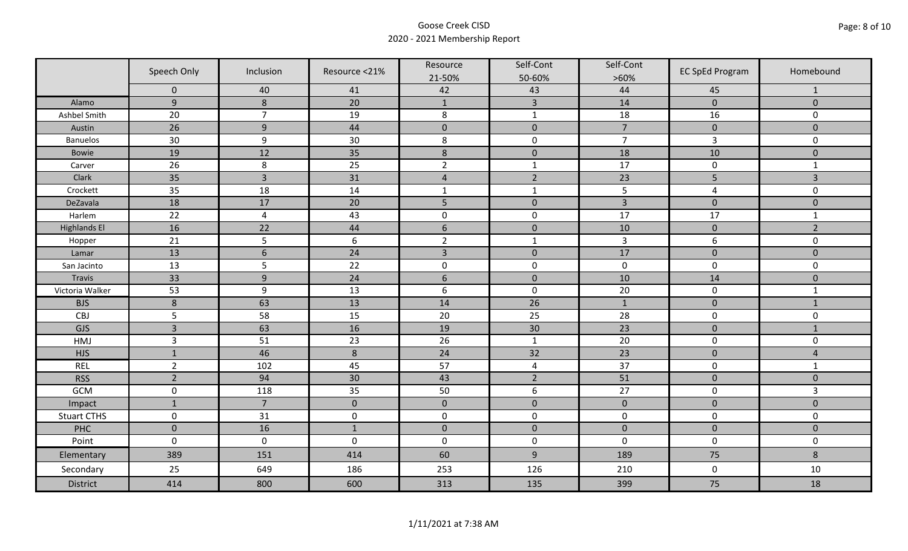|                     | Speech Only    | Inclusion      | Resource <21% | Resource<br>21-50% | Self-Cont<br>50-60% | Self-Cont<br>$>60\%$ | <b>EC SpEd Program</b> | Homebound           |
|---------------------|----------------|----------------|---------------|--------------------|---------------------|----------------------|------------------------|---------------------|
|                     | $\mathbf 0$    | 40             | 41            | 42                 | 43                  | 44                   | 45                     | $\mathbf{1}$        |
| Alamo               | $\overline{9}$ | 8              | 20            | $\mathbf{1}$       | $\overline{3}$      | 14                   | $\pmb{0}$              | $\mathbf{0}$        |
| Ashbel Smith        | 20             | $\overline{7}$ | 19            | $\,8\,$            | $\mathbf 1$         | 18                   | 16                     | 0                   |
| Austin              | 26             | 9              | 44            | $\pmb{0}$          | $\pmb{0}$           | $\overline{7}$       | $\pmb{0}$              | $\overline{0}$      |
| <b>Banuelos</b>     | 30             | $9\,$          | 30            | $\,8\,$            | $\pmb{0}$           | $\overline{7}$       | $\mathsf{3}$           | 0                   |
| Bowie               | 19             | 12             | 35            | $\,$ 8 $\,$        | $\pmb{0}$           | 18                   | 10                     | $\mathbf 0$         |
| Carver              | 26             | 8              | 25            | $\overline{2}$     | $\mathbf{1}$        | 17                   | $\pmb{0}$              | $\mathbf{1}$        |
| Clark               | 35             | $\overline{3}$ | 31            | $\overline{4}$     | $\overline{2}$      | 23                   | 5                      | $\overline{3}$      |
| Crockett            | 35             | 18             | 14            | $\mathbf{1}$       | $\mathbf{1}$        | 5                    | $\overline{a}$         | 0                   |
| DeZavala            | 18             | 17             | 20            | 5                  | $\pmb{0}$           | $\overline{3}$       | $\mathbf 0$            | $\overline{0}$      |
| Harlem              | 22             | $\overline{4}$ | 43            | $\pmb{0}$          | $\pmb{0}$           | 17                   | 17                     | $\mathbf{1}$        |
| <b>Highlands El</b> | 16             | 22             | 44            | $\boldsymbol{6}$   | $\pmb{0}$           | 10                   | $\pmb{0}$              | $\overline{2}$      |
| Hopper              | 21             | 5              | 6             | $\overline{2}$     | $\mathbf{1}$        | 3                    | 6                      | 0                   |
| Lamar               | 13             | $6\,$          | 24            | $\overline{3}$     | $\mathbf 0$         | 17                   | $\pmb{0}$              | $\overline{0}$      |
| San Jacinto         | 13             | 5              | 22            | $\pmb{0}$          | $\pmb{0}$           | $\pmb{0}$            | $\pmb{0}$              | 0                   |
| Travis              | 33             | 9              | 24            | $6\,$              | $\mathbf 0$         | 10                   | 14                     | $\mathbf 0$         |
| Victoria Walker     | 53             | 9              | 13            | $\boldsymbol{6}$   | $\pmb{0}$           | 20                   | $\pmb{0}$              | $\mathbf{1}$        |
| <b>BJS</b>          | $\, 8$         | 63             | 13            | 14                 | 26                  | $1\,$                | $\pmb{0}$              | $1\,$               |
| CBJ                 | 5              | 58             | 15            | 20                 | 25                  | 28                   | $\mathbf 0$            | $\mathbf 0$         |
| GJS                 | $\overline{3}$ | 63             | 16            | 19                 | 30                  | 23                   | $\pmb{0}$              | $\mathbf{1}$        |
| HMJ                 | $\overline{3}$ | 51             | 23            | 26                 | $\mathbf 1$         | 20                   | $\pmb{0}$              | 0                   |
| <b>HJS</b>          | $\mathbf{1}$   | 46             | $\,8\,$       | 24                 | 32                  | 23                   | $\mathbf 0$            | $\overline{4}$      |
| <b>REL</b>          | $\overline{2}$ | 102            | 45            | 57                 | $\overline{4}$      | 37                   | $\pmb{0}$              | $\mathbf{1}$        |
| <b>RSS</b>          | $\overline{2}$ | 94             | 30            | 43                 | $\overline{2}$      | 51                   | $\pmb{0}$              | $\mathbf 0$         |
| GCM                 | $\pmb{0}$      | 118            | 35            | 50                 | 6                   | 27                   | $\pmb{0}$              | 3                   |
| Impact              | $\mathbf{1}$   | $\overline{7}$ | $\mathbf 0$   | $\mathbf 0$        | $\mathbf 0$         | $\mathbf 0$          | $\mathbf 0$            | $\mathbf{0}$        |
| <b>Stuart CTHS</b>  | $\mathsf 0$    | 31             | $\pmb{0}$     | $\pmb{0}$          | $\pmb{0}$           | $\pmb{0}$            | $\pmb{0}$              | 0                   |
| PHC                 | $\mathbf 0$    | 16             | $\mathbf{1}$  | $\mathbf 0$        | $\mathbf 0$         | $\mathbf 0$          | $\mathbf 0$            | $\mathbf 0$         |
| Point               | $\mathbf 0$    | $\mathbf 0$    | $\mathbf 0$   | $\pmb{0}$          | $\pmb{0}$           | $\mathbf 0$          | $\mathbf 0$            | $\mathsf{O}\xspace$ |
| Elementary          | 389            | 151            | 414           | 60                 | $9$                 | 189                  | 75                     | 8                   |
| Secondary           | 25             | 649            | 186           | 253                | 126                 | 210                  | $\mathbf 0$            | 10                  |
| <b>District</b>     | 414            | 800            | 600           | 313                | 135                 | 399                  | 75                     | 18                  |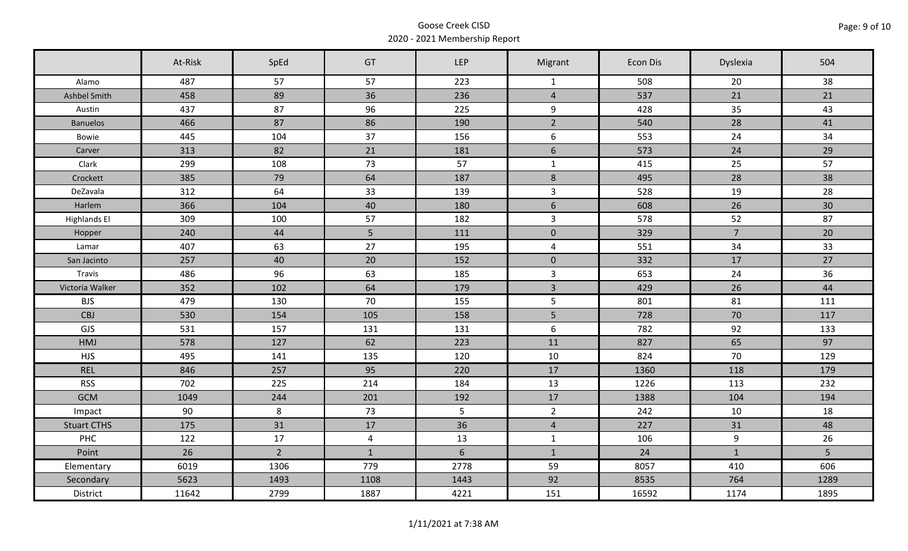|                     | At-Risk | SpEd           | GT             | LEP            | Migrant          | Econ Dis | Dyslexia         | 504  |
|---------------------|---------|----------------|----------------|----------------|------------------|----------|------------------|------|
| Alamo               | 487     | 57             | 57             | 223            | $\mathbf{1}$     | 508      | 20               | 38   |
| Ashbel Smith        | 458     | 89             | 36             | 236            | $\overline{4}$   | 537      | 21               | 21   |
| Austin              | 437     | 87             | 96             | 225            | 9                | 428      | 35               | 43   |
| <b>Banuelos</b>     | 466     | 87             | 86             | 190            | $\overline{2}$   | 540      | 28               | 41   |
| Bowie               | 445     | 104            | 37             | 156            | $6\phantom{1}$   | 553      | 24               | 34   |
| Carver              | 313     | 82             | 21             | 181            | $6\phantom{a}$   | 573      | 24               | 29   |
| Clark               | 299     | 108            | 73             | 57             | $\mathbf{1}$     | 415      | 25               | 57   |
| Crockett            | 385     | 79             | 64             | 187            | $\boldsymbol{8}$ | 495      | 28               | 38   |
| DeZavala            | 312     | 64             | 33             | 139            | $\overline{3}$   | 528      | 19               | 28   |
| Harlem              | 366     | 104            | 40             | 180            | $6\overline{6}$  | 608      | 26               | 30   |
| <b>Highlands El</b> | 309     | 100            | 57             | 182            | $\overline{3}$   | 578      | 52               | 87   |
| Hopper              | 240     | 44             | 5              | 111            | $\mathbf 0$      | 329      | $\overline{7}$   | 20   |
| Lamar               | 407     | 63             | 27             | 195            | $\overline{4}$   | 551      | 34               | 33   |
| San Jacinto         | 257     | 40             | 20             | 152            | $\mathbf 0$      | 332      | 17               | 27   |
| Travis              | 486     | 96             | 63             | 185            | $\mathbf{3}$     | 653      | 24               | 36   |
| Victoria Walker     | 352     | 102            | 64             | 179            | $\overline{3}$   | 429      | 26               | 44   |
| <b>BJS</b>          | 479     | 130            | 70             | 155            | 5                | 801      | 81               | 111  |
| CBJ                 | 530     | 154            | 105            | 158            | 5                | 728      | 70               | 117  |
| GJS                 | 531     | 157            | 131            | 131            | $6\phantom{1}$   | 782      | 92               | 133  |
| <b>HMJ</b>          | 578     | 127            | 62             | 223            | 11               | 827      | 65               | 97   |
| <b>HJS</b>          | 495     | 141            | 135            | 120            | 10               | 824      | 70               | 129  |
| <b>REL</b>          | 846     | 257            | 95             | 220            | 17               | 1360     | 118              | 179  |
| <b>RSS</b>          | 702     | 225            | 214            | 184            | 13               | 1226     | 113              | 232  |
| <b>GCM</b>          | 1049    | 244            | 201            | 192            | 17               | 1388     | 104              | 194  |
| Impact              | 90      | 8              | 73             | 5 <sup>1</sup> | $\overline{2}$   | 242      | 10               | 18   |
| <b>Stuart CTHS</b>  | 175     | 31             | 17             | 36             | $\overline{4}$   | 227      | 31               | 48   |
| PHC                 | 122     | 17             | $\overline{4}$ | 13             | $\mathbf{1}$     | 106      | $\boldsymbol{9}$ | 26   |
| Point               | 26      | $\overline{2}$ | $\mathbf{1}$   | $6\phantom{1}$ | $\mathbf{1}$     | 24       | $\mathbf{1}$     | 5    |
| Elementary          | 6019    | 1306           | 779            | 2778           | 59               | 8057     | 410              | 606  |
| Secondary           | 5623    | 1493           | 1108           | 1443           | 92               | 8535     | 764              | 1289 |
| District            | 11642   | 2799           | 1887           | 4221           | 151              | 16592    | 1174             | 1895 |